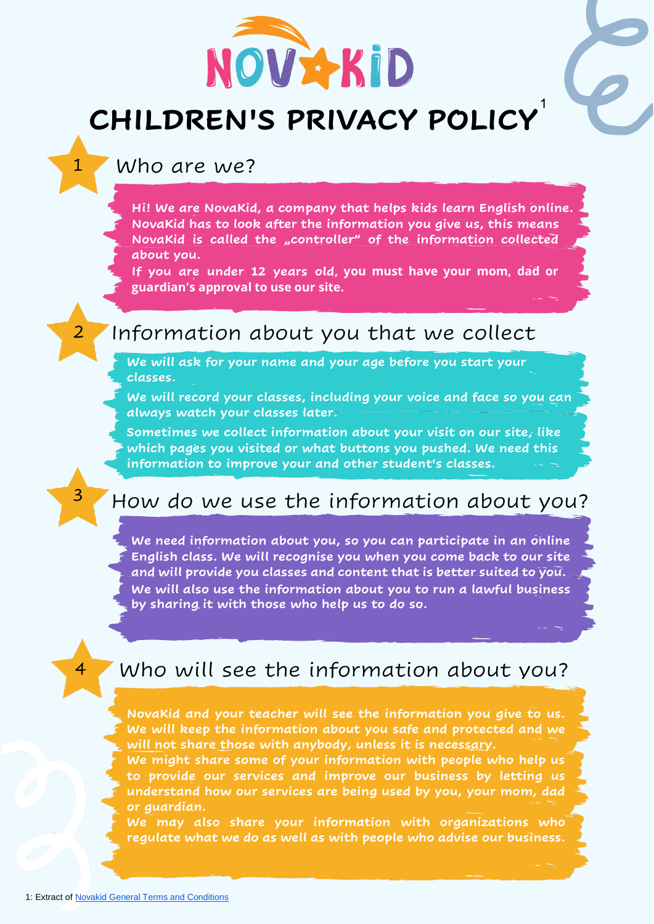

# **CHILDREN'S PRIVACY POLICY**

Who are we?

1

2

3

4

**Hi! We are NovaKid, a company that helps kids learn English online. NovaKid has to look after the information you give us, this means**  NovaKid is called the "controller" of the information collected **about you.**

**If you are under 12 years old, you must have your mom, dad or guardian's approval to use our site.** 

### Information about you that we collect

**We will ask for your name and your age before you start your classes.**

**We will record your classes, including your voice and face so you can always watch your classes later.**

**Sometimes we collect information about your visit on our site, like which pages you visited or what buttons you pushed. We need this information to improve your and other student's classes.** 

### How do we use the information about you?

**We need information about you, so you can participate in an online English class. We will recognise you when you come back to our site and will provide you classes and content that is better suited to you. We will also use the information about you to run a lawful business by sharing it with those who help us to do so.** 

### Who will see the information about you?

**NovaKid and your teacher will see the information you give to us. We will keep the information about you safe and protected and we will not share those with anybody, unless it is necessary.**

**We might share some of your information with people who help us to provide our services and improve our business by letting us understand how our services are being used by you, your mom, dad or guardian.**

**We may also share your information with organizations who regulate what we do as well as with people who advise our business.**

1: Auszug aus der Datenschutzerklärung von NovaKid 1: Auszug aus der Datenschutzerklärung von NovaKid